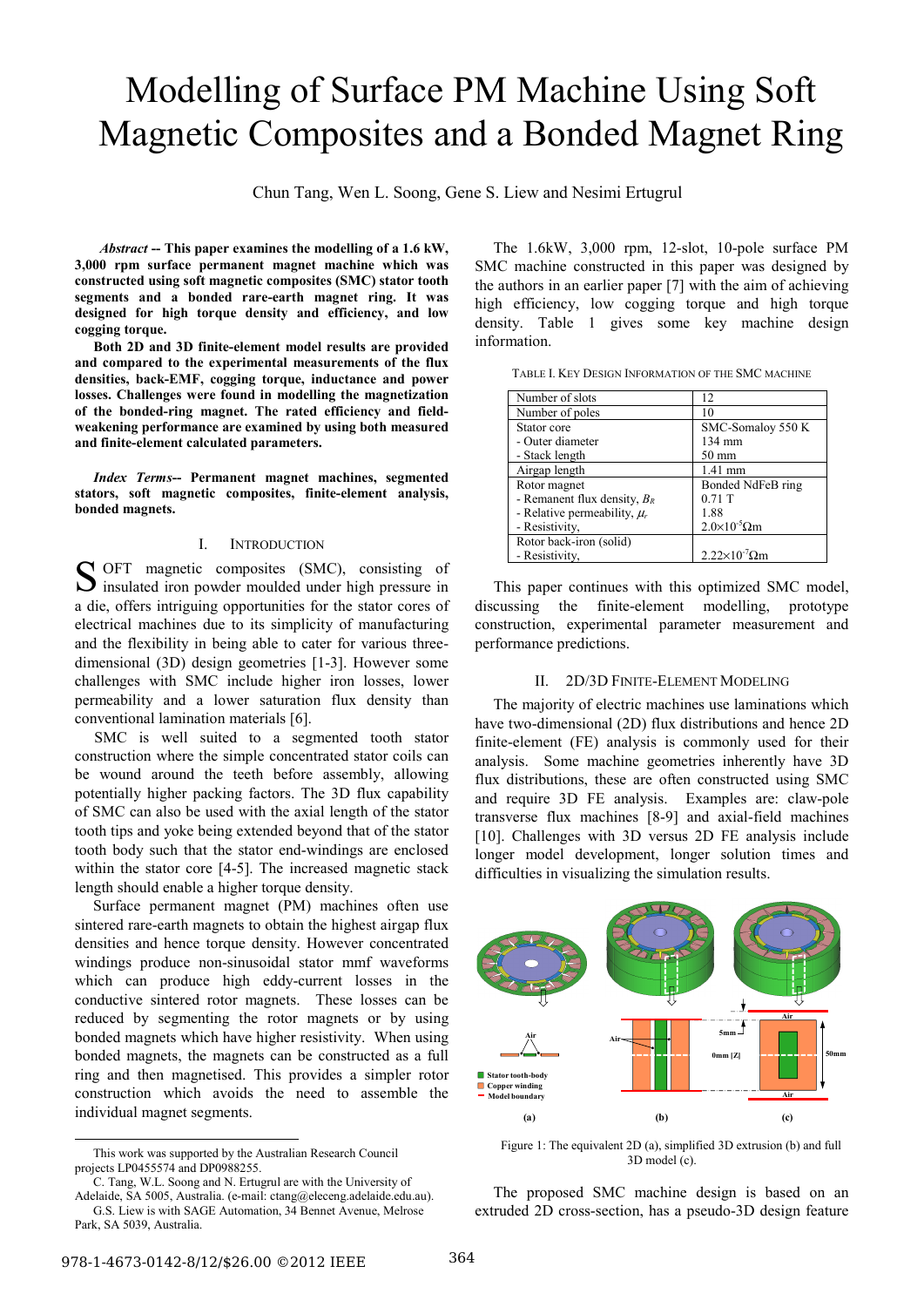# Modelling of Surface PM Machine Using Soft Magnetic Composites and a Bonded Magnet Ring

Chun Tang, Wen L. Soong, Gene S. Liew and Nesimi Ertugrul

<sup>Φ</sup>*Abstract* **-- This paper examines the modelling of a 1.6 kW, 3,000 rpm surface permanent magnet machine which was constructed using soft magnetic composites (SMC) stator tooth segments and a bonded rare-earth magnet ring. It was designed for high torque density and efficiency, and low cogging torque.** 

**Both 2D and 3D finite-element model results are provided and compared to the experimental measurements of the flux densities, back-EMF, cogging torque, inductance and power losses. Challenges were found in modelling the magnetization of the bonded-ring magnet. The rated efficiency and fieldweakening performance are examined by using both measured and finite-element calculated parameters.** 

*Index Terms***-- Permanent magnet machines, segmented stators, soft magnetic composites, finite-element analysis, bonded magnets.** 

## I. INTRODUCTION

OFT magnetic composites (SMC), consisting of S OFT magnetic composites (SMC), consisting of insulated iron powder moulded under high pressure in a die, offers intriguing opportunities for the stator cores of electrical machines due to its simplicity of manufacturing and the flexibility in being able to cater for various threedimensional (3D) design geometries [1-3]. However some challenges with SMC include higher iron losses, lower permeability and a lower saturation flux density than conventional lamination materials [6].

 SMC is well suited to a segmented tooth stator construction where the simple concentrated stator coils can be wound around the teeth before assembly, allowing potentially higher packing factors. The 3D flux capability of SMC can also be used with the axial length of the stator tooth tips and yoke being extended beyond that of the stator tooth body such that the stator end-windings are enclosed within the stator core [4-5]. The increased magnetic stack length should enable a higher torque density.

Surface permanent magnet (PM) machines often use sintered rare-earth magnets to obtain the highest airgap flux densities and hence torque density. However concentrated windings produce non-sinusoidal stator mmf waveforms which can produce high eddy-current losses in the conductive sintered rotor magnets. These losses can be reduced by segmenting the rotor magnets or by using bonded magnets which have higher resistivity. When using bonded magnets, the magnets can be constructed as a full ring and then magnetised. This provides a simpler rotor construction which avoids the need to assemble the individual magnet segments.

The 1.6kW, 3,000 rpm, 12-slot, 10-pole surface PM SMC machine constructed in this paper was designed by the authors in an earlier paper [7] with the aim of achieving high efficiency, low cogging torque and high torque density. Table 1 gives some key machine design information.

|  | TABLE I. KEY DESIGN INFORMATION OF THE SMC MACHINE |  |
|--|----------------------------------------------------|--|
|  |                                                    |  |

| Number of slots                  | 12                             |  |
|----------------------------------|--------------------------------|--|
| Number of poles                  | 10                             |  |
| Stator core                      | SMC-Somalov 550 K              |  |
| - Outer diameter                 | 134 mm                         |  |
| - Stack length                   | $50 \text{ mm}$                |  |
| Airgap length                    | $1.41$ mm                      |  |
| Rotor magnet                     | Bonded NdFeB ring              |  |
| - Remanent flux density, $B_R$   | $0.71$ T                       |  |
| - Relative permeability, $\mu_r$ | 1.88                           |  |
| - Resistivity,                   | $2.0\times10^{-5}$ Ωm          |  |
| Rotor back-iron (solid)          |                                |  |
| - Resistivity,                   | $2.22\times10^{-7}$ $\Omega$ m |  |

This paper continues with this optimized SMC model, discussing the finite-element modelling, prototype construction, experimental parameter measurement and performance predictions.

# II. 2D/3D FINITE-ELEMENT MODELING

The majority of electric machines use laminations which have two-dimensional (2D) flux distributions and hence 2D finite-element (FE) analysis is commonly used for their analysis. Some machine geometries inherently have 3D flux distributions, these are often constructed using SMC and require 3D FE analysis. Examples are: claw-pole transverse flux machines [8-9] and axial-field machines [10]. Challenges with 3D versus 2D FE analysis include longer model development, longer solution times and difficulties in visualizing the simulation results.



Figure 1: The equivalent 2D (a), simplified 3D extrusion (b) and full 3D model (c).

The proposed SMC machine design is based on an extruded 2D cross-section, has a pseudo-3D design feature

This work was supported by the Australian Research Council projects LP0455574 and DP0988255.

C. Tang, W.L. Soong and N. Ertugrul are with the University of

Adelaide, SA 5005, Australia. (e-mail: ctang@eleceng.adelaide.edu.au). G.S. Liew is with SAGE Automation, 34 Bennet Avenue, Melrose Park, SA 5039, Australia.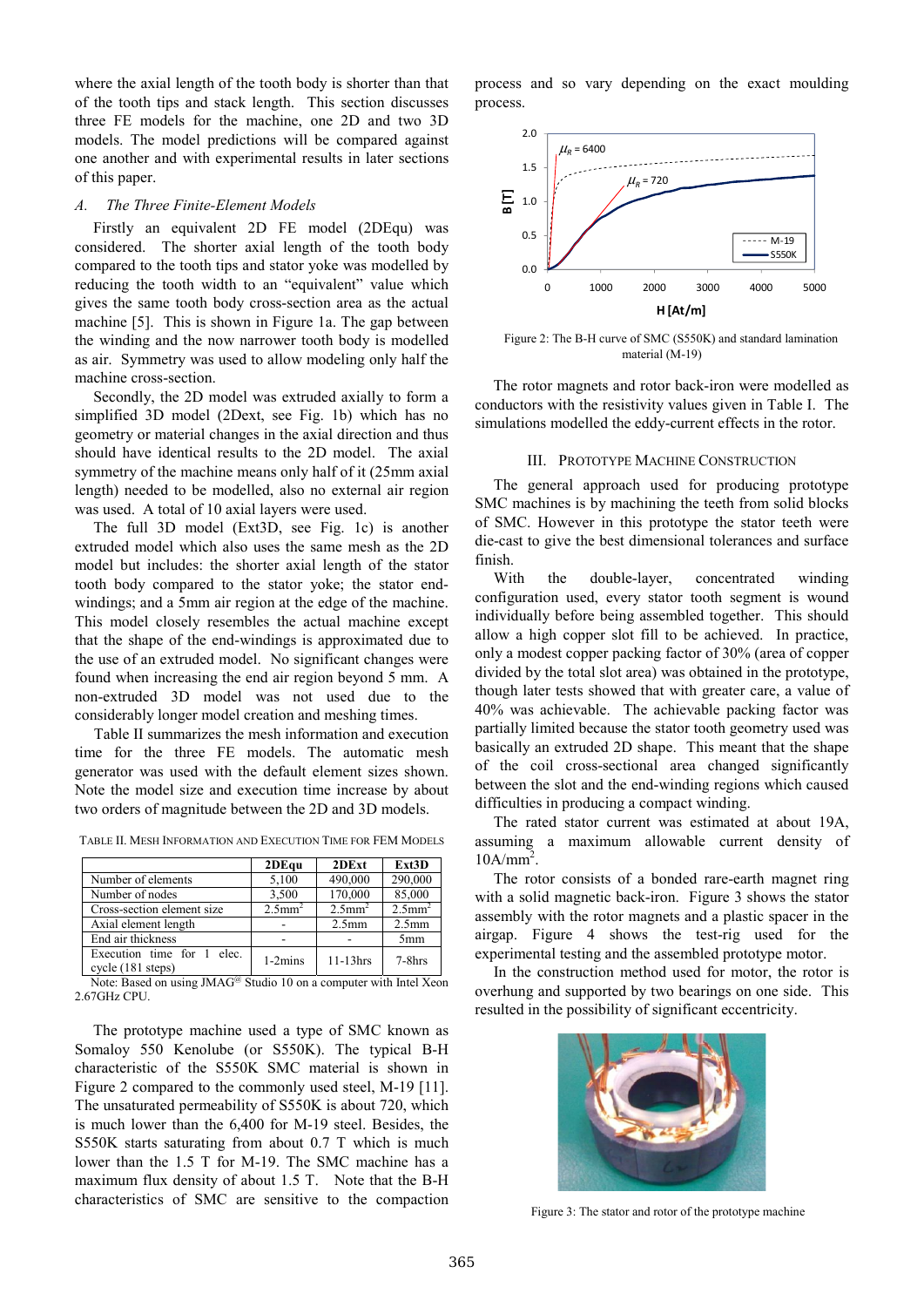where the axial length of the tooth body is shorter than that of the tooth tips and stack length. This section discusses three FE models for the machine, one 2D and two 3D models. The model predictions will be compared against one another and with experimental results in later sections of this paper.

## *A. The Three Finite-Element Models*

Firstly an equivalent 2D FE model (2DEqu) was considered. The shorter axial length of the tooth body compared to the tooth tips and stator yoke was modelled by reducing the tooth width to an "equivalent" value which gives the same tooth body cross-section area as the actual machine [5]. This is shown in Figure 1a. The gap between the winding and the now narrower tooth body is modelled as air. Symmetry was used to allow modeling only half the machine cross-section.

Secondly, the 2D model was extruded axially to form a simplified 3D model (2Dext, see Fig. 1b) which has no geometry or material changes in the axial direction and thus should have identical results to the 2D model. The axial symmetry of the machine means only half of it (25mm axial length) needed to be modelled, also no external air region was used. A total of 10 axial layers were used.

The full 3D model (Ext3D, see Fig. 1c) is another extruded model which also uses the same mesh as the 2D model but includes: the shorter axial length of the stator tooth body compared to the stator yoke; the stator endwindings; and a 5mm air region at the edge of the machine. This model closely resembles the actual machine except that the shape of the end-windings is approximated due to the use of an extruded model. No significant changes were found when increasing the end air region beyond 5 mm. A non-extruded 3D model was not used due to the considerably longer model creation and meshing times.

Table II summarizes the mesh information and execution time for the three FE models. The automatic mesh generator was used with the default element sizes shown. Note the model size and execution time increase by about two orders of magnitude between the 2D and 3D models.

|                                                    | 2DEqu                 | 2DExt                 | Ext3D                 |
|----------------------------------------------------|-----------------------|-----------------------|-----------------------|
| Number of elements                                 | 5,100                 | 490,000               | 290,000               |
| Number of nodes                                    | 3,500                 | 170,000               | 85,000                |
| Cross-section element size                         | $2.5$ mm <sup>2</sup> | $2.5$ mm <sup>2</sup> | $2.5$ mm <sup>2</sup> |
| Axial element length                               |                       | 2.5 <sub>mm</sub>     | 2.5 <sub>mm</sub>     |
| End air thickness                                  |                       |                       | 5 <sub>mm</sub>       |
| Execution time for 1<br>elec.<br>cycle (181 steps) | $1-2$ mins            | $11-13$ hrs           | $7-8$ hrs             |

TABLE II. MESH INFORMATION AND EXECUTION TIME FOR FEM MODELS

Note: Based on using JMAG<sup>@</sup> Studio 10 on a computer with Intel Xeon 2.67GHz CPU.

The prototype machine used a type of SMC known as Somaloy 550 Kenolube (or S550K). The typical B-H characteristic of the S550K SMC material is shown in Figure 2 compared to the commonly used steel, M-19 [11]. The unsaturated permeability of S550K is about 720, which is much lower than the 6,400 for M-19 steel. Besides, the S550K starts saturating from about 0.7 T which is much lower than the 1.5 T for M-19. The SMC machine has a maximum flux density of about 1.5 T. Note that the B-H characteristics of SMC are sensitive to the compaction process and so vary depending on the exact moulding process.



Figure 2: The B-H curve of SMC (S550K) and standard lamination material (M-19)

The rotor magnets and rotor back-iron were modelled as conductors with the resistivity values given in Table I. The simulations modelled the eddy-current effects in the rotor.

## III. PROTOTYPE MACHINE CONSTRUCTION

The general approach used for producing prototype SMC machines is by machining the teeth from solid blocks of SMC. However in this prototype the stator teeth were die-cast to give the best dimensional tolerances and surface finish.

With the double-layer, concentrated winding configuration used, every stator tooth segment is wound individually before being assembled together. This should allow a high copper slot fill to be achieved. In practice, only a modest copper packing factor of 30% (area of copper divided by the total slot area) was obtained in the prototype, though later tests showed that with greater care, a value of 40% was achievable. The achievable packing factor was partially limited because the stator tooth geometry used was basically an extruded 2D shape. This meant that the shape of the coil cross-sectional area changed significantly between the slot and the end-winding regions which caused difficulties in producing a compact winding.

The rated stator current was estimated at about 19A, assuming a maximum allowable current density of  $10A/mm^2$ .

The rotor consists of a bonded rare-earth magnet ring with a solid magnetic back-iron. Figure 3 shows the stator assembly with the rotor magnets and a plastic spacer in the airgap. Figure 4 shows the test-rig used for the experimental testing and the assembled prototype motor.

In the construction method used for motor, the rotor is overhung and supported by two bearings on one side. This resulted in the possibility of significant eccentricity.



Figure 3: The stator and rotor of the prototype machine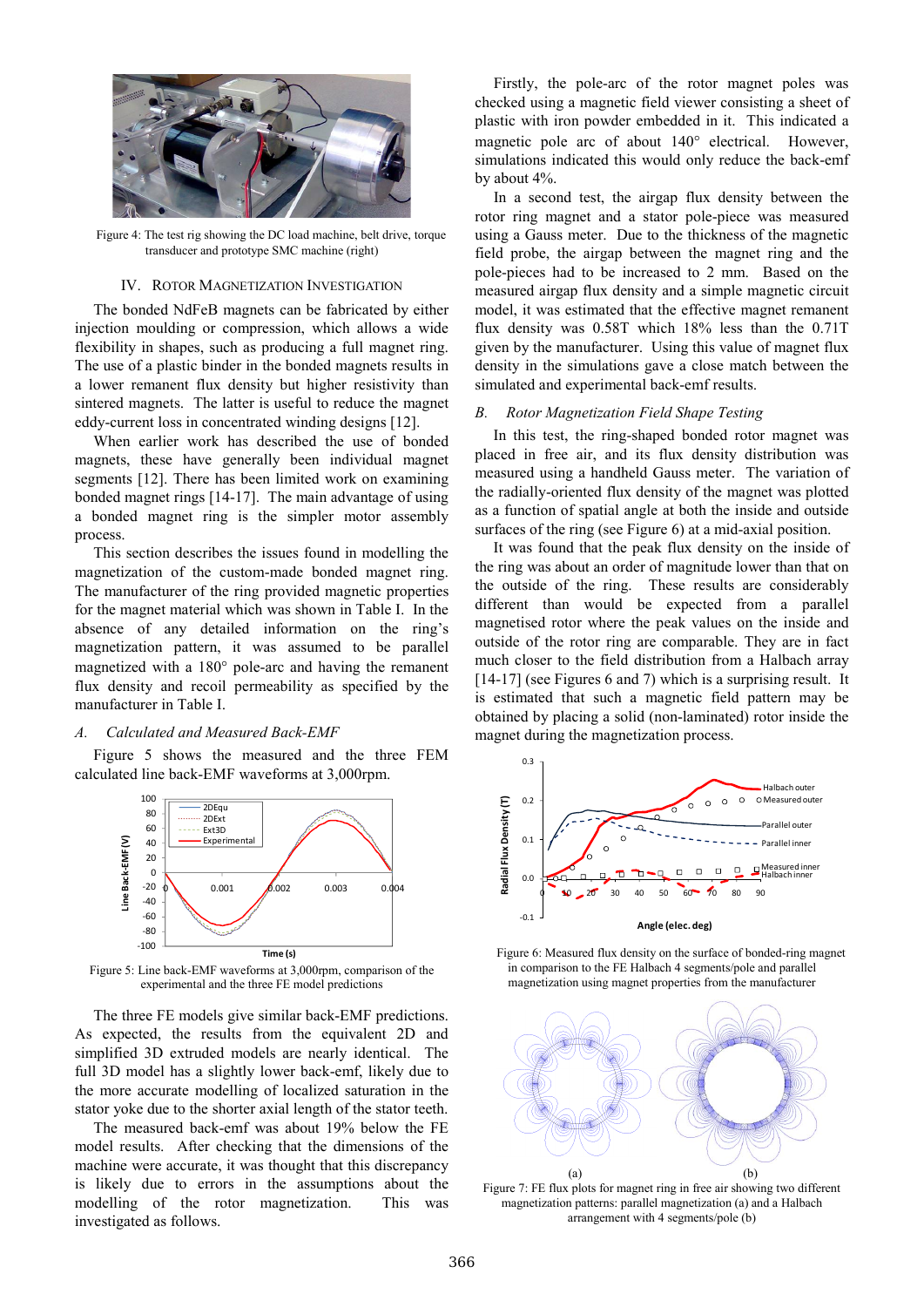

Figure 4: The test rig showing the DC load machine, belt drive, torque transducer and prototype SMC machine (right)

#### IV. ROTOR MAGNETIZATION INVESTIGATION

The bonded NdFeB magnets can be fabricated by either injection moulding or compression, which allows a wide flexibility in shapes, such as producing a full magnet ring. The use of a plastic binder in the bonded magnets results in a lower remanent flux density but higher resistivity than sintered magnets. The latter is useful to reduce the magnet eddy-current loss in concentrated winding designs [12].

When earlier work has described the use of bonded magnets, these have generally been individual magnet segments [12]. There has been limited work on examining bonded magnet rings [14-17]. The main advantage of using a bonded magnet ring is the simpler motor assembly process.

This section describes the issues found in modelling the magnetization of the custom-made bonded magnet ring. The manufacturer of the ring provided magnetic properties for the magnet material which was shown in Table I. In the absence of any detailed information on the ring's magnetization pattern, it was assumed to be parallel magnetized with a 180° pole-arc and having the remanent flux density and recoil permeability as specified by the manufacturer in Table I.

## *A. Calculated and Measured Back-EMF*

Figure 5 shows the measured and the three FEM calculated line back-EMF waveforms at 3,000rpm.



Figure 5: Line back-EMF waveforms at 3,000rpm, comparison of the experimental and the three FE model predictions

The three FE models give similar back-EMF predictions. As expected, the results from the equivalent 2D and simplified 3D extruded models are nearly identical. The full 3D model has a slightly lower back-emf, likely due to the more accurate modelling of localized saturation in the stator yoke due to the shorter axial length of the stator teeth.

The measured back-emf was about 19% below the FE model results. After checking that the dimensions of the machine were accurate, it was thought that this discrepancy is likely due to errors in the assumptions about the modelling of the rotor magnetization. This was investigated as follows.

Firstly, the pole-arc of the rotor magnet poles was checked using a magnetic field viewer consisting a sheet of plastic with iron powder embedded in it. This indicated a magnetic pole arc of about 140° electrical. However, simulations indicated this would only reduce the back-emf by about 4%.

In a second test, the airgap flux density between the rotor ring magnet and a stator pole-piece was measured using a Gauss meter. Due to the thickness of the magnetic field probe, the airgap between the magnet ring and the pole-pieces had to be increased to 2 mm. Based on the measured airgap flux density and a simple magnetic circuit model, it was estimated that the effective magnet remanent flux density was 0.58T which 18% less than the 0.71T given by the manufacturer. Using this value of magnet flux density in the simulations gave a close match between the simulated and experimental back-emf results.

## *B. Rotor Magnetization Field Shape Testing*

In this test, the ring-shaped bonded rotor magnet was placed in free air, and its flux density distribution was measured using a handheld Gauss meter. The variation of the radially-oriented flux density of the magnet was plotted as a function of spatial angle at both the inside and outside surfaces of the ring (see Figure 6) at a mid-axial position.

It was found that the peak flux density on the inside of the ring was about an order of magnitude lower than that on the outside of the ring. These results are considerably different than would be expected from a parallel magnetised rotor where the peak values on the inside and outside of the rotor ring are comparable. They are in fact much closer to the field distribution from a Halbach array [14-17] (see Figures 6 and 7) which is a surprising result. It is estimated that such a magnetic field pattern may be obtained by placing a solid (non-laminated) rotor inside the magnet during the magnetization process.



Figure 6: Measured flux density on the surface of bonded-ring magnet in comparison to the FE Halbach 4 segments/pole and parallel magnetization using magnet properties from the manufacturer



Figure 7: FE flux plots for magnet ring in free air showing two different magnetization patterns: parallel magnetization (a) and a Halbach arrangement with 4 segments/pole (b)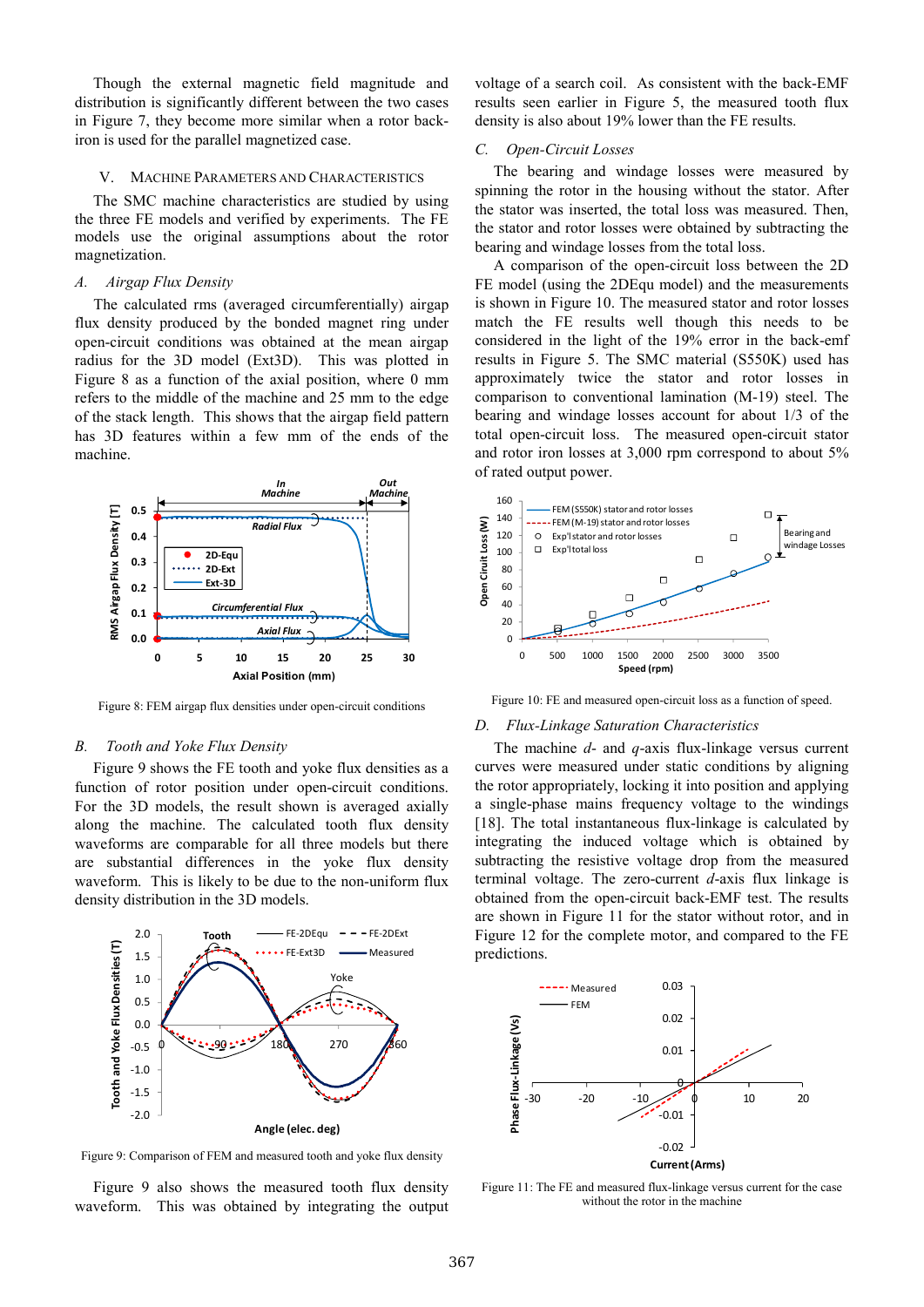Though the external magnetic field magnitude and distribution is significantly different between the two cases in Figure 7, they become more similar when a rotor backiron is used for the parallel magnetized case.

## V. MACHINE PARAMETERS AND CHARACTERISTICS

The SMC machine characteristics are studied by using the three FE models and verified by experiments. The FE models use the original assumptions about the rotor magnetization.

# *A. Airgap Flux Density*

The calculated rms (averaged circumferentially) airgap flux density produced by the bonded magnet ring under open-circuit conditions was obtained at the mean airgap radius for the 3D model (Ext3D). This was plotted in Figure 8 as a function of the axial position, where 0 mm refers to the middle of the machine and 25 mm to the edge of the stack length. This shows that the airgap field pattern has 3D features within a few mm of the ends of the machine.



Figure 8: FEM airgap flux densities under open-circuit conditions

## *B. Tooth and Yoke Flux Density*

Figure 9 shows the FE tooth and yoke flux densities as a function of rotor position under open-circuit conditions. For the 3D models, the result shown is averaged axially along the machine. The calculated tooth flux density waveforms are comparable for all three models but there are substantial differences in the yoke flux density waveform. This is likely to be due to the non-uniform flux density distribution in the 3D models.



Figure 9: Comparison of FEM and measured tooth and yoke flux density

Figure 9 also shows the measured tooth flux density waveform. This was obtained by integrating the output voltage of a search coil. As consistent with the back-EMF results seen earlier in Figure 5, the measured tooth flux density is also about 19% lower than the FE results.

# *C. Open-Circuit Losses*

The bearing and windage losses were measured by spinning the rotor in the housing without the stator. After the stator was inserted, the total loss was measured. Then, the stator and rotor losses were obtained by subtracting the bearing and windage losses from the total loss.

A comparison of the open-circuit loss between the 2D FE model (using the 2DEqu model) and the measurements is shown in Figure 10. The measured stator and rotor losses match the FE results well though this needs to be considered in the light of the 19% error in the back-emf results in Figure 5. The SMC material (S550K) used has approximately twice the stator and rotor losses in comparison to conventional lamination (M-19) steel. The bearing and windage losses account for about 1/3 of the total open-circuit loss. The measured open-circuit stator and rotor iron losses at 3,000 rpm correspond to about 5% of rated output power.



Figure 10: FE and measured open-circuit loss as a function of speed.

#### *D. Flux-Linkage Saturation Characteristics*

The machine *d*- and *q*-axis flux-linkage versus current curves were measured under static conditions by aligning the rotor appropriately, locking it into position and applying a single-phase mains frequency voltage to the windings [18]. The total instantaneous flux-linkage is calculated by integrating the induced voltage which is obtained by subtracting the resistive voltage drop from the measured terminal voltage. The zero-current *d*-axis flux linkage is obtained from the open-circuit back-EMF test. The results are shown in Figure 11 for the stator without rotor, and in Figure 12 for the complete motor, and compared to the FE predictions.



Figure 11: The FE and measured flux-linkage versus current for the case without the rotor in the machine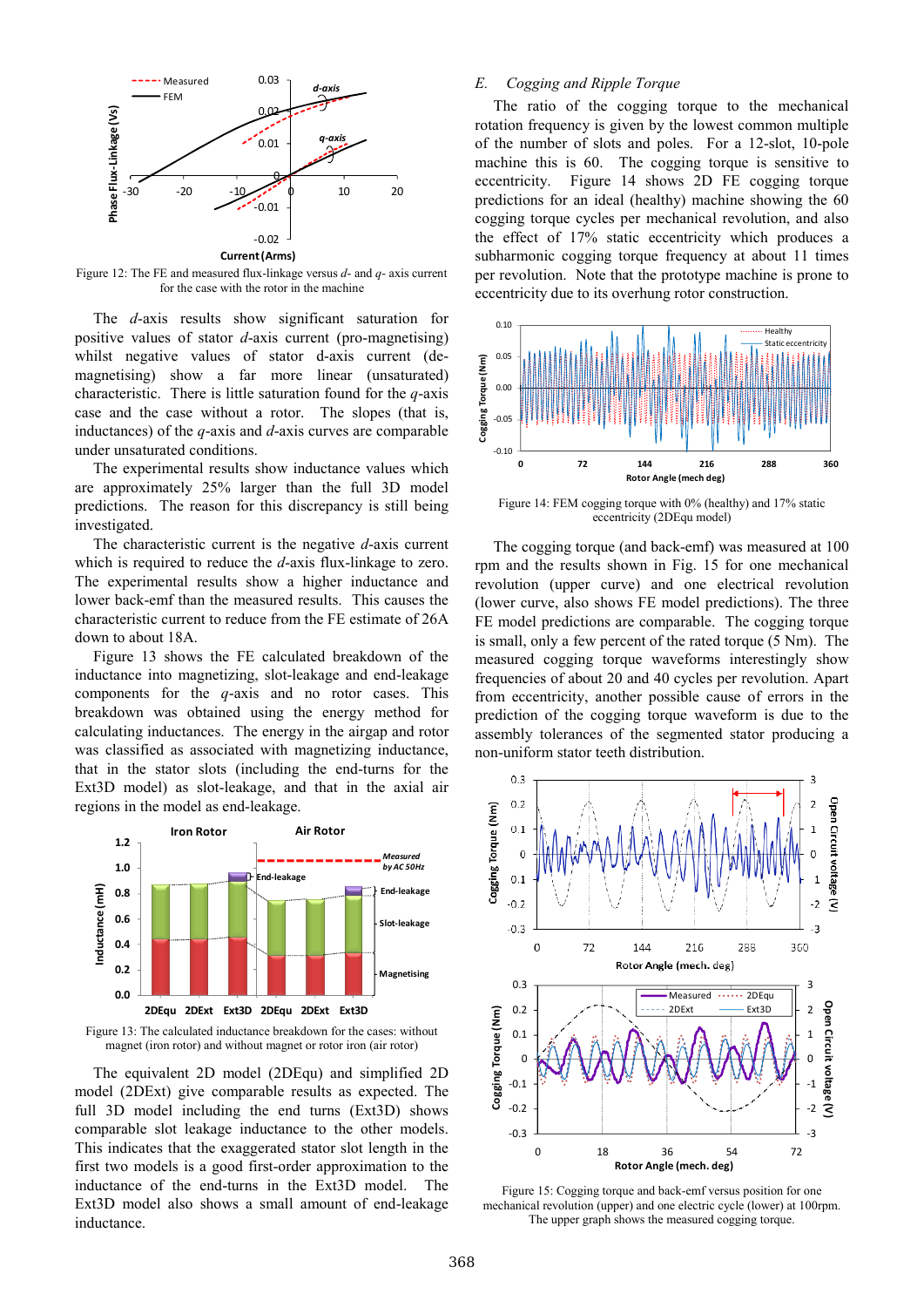

Figure 12: The FE and measured flux-linkage versus *d*- and *q*- axis current for the case with the rotor in the machine

The *d*-axis results show significant saturation for positive values of stator *d*-axis current (pro-magnetising) whilst negative values of stator d-axis current (demagnetising) show a far more linear (unsaturated) characteristic. There is little saturation found for the *q*-axis case and the case without a rotor. The slopes (that is, inductances) of the *q*-axis and *d*-axis curves are comparable under unsaturated conditions.

The experimental results show inductance values which are approximately 25% larger than the full 3D model predictions. The reason for this discrepancy is still being investigated.

The characteristic current is the negative *d*-axis current which is required to reduce the *d*-axis flux-linkage to zero. The experimental results show a higher inductance and lower back-emf than the measured results. This causes the characteristic current to reduce from the FE estimate of 26A down to about 18A.

Figure 13 shows the FE calculated breakdown of the inductance into magnetizing, slot-leakage and end-leakage components for the *q*-axis and no rotor cases. This breakdown was obtained using the energy method for calculating inductances. The energy in the airgap and rotor was classified as associated with magnetizing inductance, that in the stator slots (including the end-turns for the Ext3D model) as slot-leakage, and that in the axial air regions in the model as end-leakage.



Figure 13: The calculated inductance breakdown for the cases: without magnet (iron rotor) and without magnet or rotor iron (air rotor)

The equivalent 2D model (2DEqu) and simplified 2D model (2DExt) give comparable results as expected. The full 3D model including the end turns (Ext3D) shows comparable slot leakage inductance to the other models. This indicates that the exaggerated stator slot length in the first two models is a good first-order approximation to the inductance of the end-turns in the Ext3D model. The Ext3D model also shows a small amount of end-leakage inductance.

# *E. Cogging and Ripple Torque*

The ratio of the cogging torque to the mechanical rotation frequency is given by the lowest common multiple of the number of slots and poles. For a 12-slot, 10-pole machine this is 60. The cogging torque is sensitive to eccentricity. Figure 14 shows 2D FE cogging torque predictions for an ideal (healthy) machine showing the 60 cogging torque cycles per mechanical revolution, and also the effect of 17% static eccentricity which produces a subharmonic cogging torque frequency at about 11 times per revolution. Note that the prototype machine is prone to eccentricity due to its overhung rotor construction.



Figure 14: FEM cogging torque with 0% (healthy) and 17% static eccentricity (2DEqu model)

The cogging torque (and back-emf) was measured at 100 rpm and the results shown in Fig. 15 for one mechanical revolution (upper curve) and one electrical revolution (lower curve, also shows FE model predictions). The three FE model predictions are comparable. The cogging torque is small, only a few percent of the rated torque (5 Nm). The measured cogging torque waveforms interestingly show frequencies of about 20 and 40 cycles per revolution. Apart from eccentricity, another possible cause of errors in the prediction of the cogging torque waveform is due to the assembly tolerances of the segmented stator producing a non-uniform stator teeth distribution.



Figure 15: Cogging torque and back-emf versus position for one mechanical revolution (upper) and one electric cycle (lower) at 100rpm. The upper graph shows the measured cogging torque.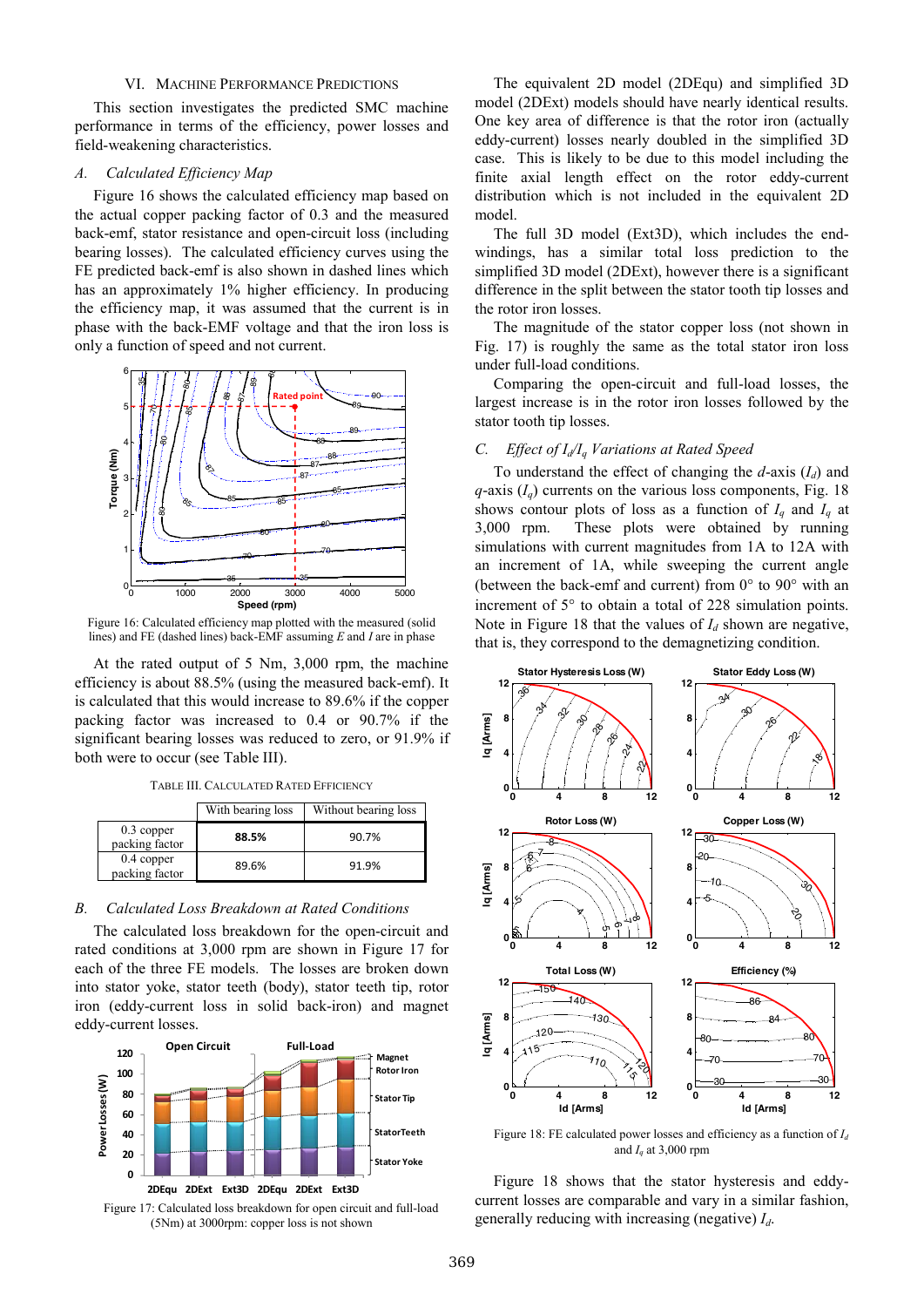## VI. MACHINE PERFORMANCE PREDICTIONS

This section investigates the predicted SMC machine performance in terms of the efficiency, power losses and field-weakening characteristics.

#### *A. Calculated Efficiency Map*

Figure 16 shows the calculated efficiency map based on the actual copper packing factor of 0.3 and the measured back-emf, stator resistance and open-circuit loss (including bearing losses). The calculated efficiency curves using the FE predicted back-emf is also shown in dashed lines which has an approximately 1% higher efficiency. In producing the efficiency map, it was assumed that the current is in phase with the back-EMF voltage and that the iron loss is only a function of speed and not current.



 Figure 16: Calculated efficiency map plotted with the measured (solid lines) and FE (dashed lines) back-EMF assuming *E* and *I* are in phase

At the rated output of 5 Nm, 3,000 rpm, the machine efficiency is about 88.5% (using the measured back-emf). It is calculated that this would increase to 89.6% if the copper packing factor was increased to 0.4 or 90.7% if the significant bearing losses was reduced to zero, or 91.9% if both were to occur (see Table III).

| TABLE III. CALCULATED RATED EFFICIENCY |  |
|----------------------------------------|--|
|----------------------------------------|--|

|                                | With bearing loss | Without bearing loss |
|--------------------------------|-------------------|----------------------|
| $0.3$ copper<br>packing factor | 88.5%             | 90.7%                |
| $0.4$ copper<br>packing factor | 89.6%             | 91.9%                |

## *B. Calculated Loss Breakdown at Rated Conditions*

The calculated loss breakdown for the open-circuit and rated conditions at 3,000 rpm are shown in Figure 17 for each of the three FE models. The losses are broken down into stator yoke, stator teeth (body), stator teeth tip, rotor iron (eddy-current loss in solid back-iron) and magnet eddy-current losses.



Figure 17: Calculated loss breakdown for open circuit and full-load (5Nm) at 3000rpm: copper loss is not shown

The equivalent 2D model (2DEqu) and simplified 3D model (2DExt) models should have nearly identical results. One key area of difference is that the rotor iron (actually eddy-current) losses nearly doubled in the simplified 3D case. This is likely to be due to this model including the finite axial length effect on the rotor eddy-current distribution which is not included in the equivalent 2D model.

The full 3D model (Ext3D), which includes the endwindings, has a similar total loss prediction to the simplified 3D model (2DExt), however there is a significant difference in the split between the stator tooth tip losses and the rotor iron losses.

The magnitude of the stator copper loss (not shown in Fig. 17) is roughly the same as the total stator iron loss under full-load conditions.

Comparing the open-circuit and full-load losses, the largest increase is in the rotor iron losses followed by the stator tooth tip losses.

# *C. Effect of I<sub>d</sub>*/*I<sub>a</sub> Variations at Rated Speed*

To understand the effect of changing the *d*-axis (*Id*) and  $q$ -axis ( $I_q$ ) currents on the various loss components, Fig. 18 shows contour plots of loss as a function of  $I_q$  and  $I_q$  at 3,000 rpm. These plots were obtained by running simulations with current magnitudes from 1A to 12A with an increment of 1A, while sweeping the current angle (between the back-emf and current) from 0° to 90° with an increment of 5° to obtain a total of 228 simulation points. Note in Figure 18 that the values of  $I_d$  shown are negative, that is, they correspond to the demagnetizing condition.



Figure 18: FE calculated power losses and efficiency as a function of *Id* and  $I_q$  at 3,000 rpm

Figure 18 shows that the stator hysteresis and eddycurrent losses are comparable and vary in a similar fashion, generally reducing with increasing (negative) *Id*.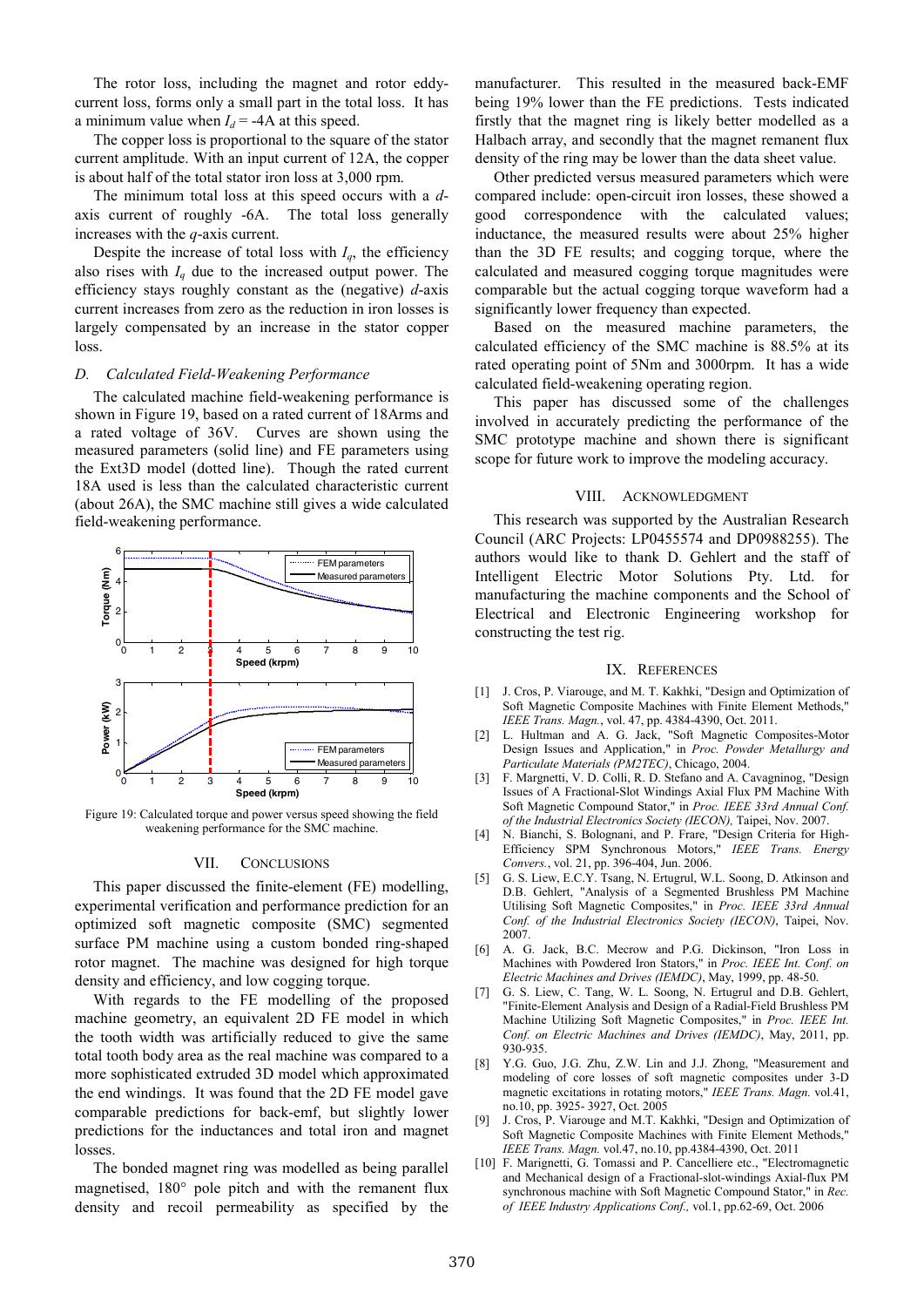The rotor loss, including the magnet and rotor eddycurrent loss, forms only a small part in the total loss. It has a minimum value when  $I_d$  = -4A at this speed.

The copper loss is proportional to the square of the stator current amplitude. With an input current of 12A, the copper is about half of the total stator iron loss at 3,000 rpm.

The minimum total loss at this speed occurs with a *d*axis current of roughly -6A. The total loss generally increases with the *q*-axis current.

Despite the increase of total loss with  $I_q$ , the efficiency also rises with  $I_q$  due to the increased output power. The efficiency stays roughly constant as the (negative) *d*-axis current increases from zero as the reduction in iron losses is largely compensated by an increase in the stator copper loss.

# *D. Calculated Field-Weakening Performance*

The calculated machine field-weakening performance is shown in Figure 19, based on a rated current of 18Arms and a rated voltage of 36V. Curves are shown using the measured parameters (solid line) and FE parameters using the Ext3D model (dotted line). Though the rated current 18A used is less than the calculated characteristic current (about 26A), the SMC machine still gives a wide calculated field-weakening performance.



Figure 19: Calculated torque and power versus speed showing the field weakening performance for the SMC machine.

## VII. CONCLUSIONS

This paper discussed the finite-element (FE) modelling, experimental verification and performance prediction for an optimized soft magnetic composite (SMC) segmented surface PM machine using a custom bonded ring-shaped rotor magnet. The machine was designed for high torque density and efficiency, and low cogging torque.

With regards to the FE modelling of the proposed machine geometry, an equivalent 2D FE model in which the tooth width was artificially reduced to give the same total tooth body area as the real machine was compared to a more sophisticated extruded 3D model which approximated the end windings. It was found that the 2D FE model gave comparable predictions for back-emf, but slightly lower predictions for the inductances and total iron and magnet losses.

The bonded magnet ring was modelled as being parallel magnetised, 180° pole pitch and with the remanent flux density and recoil permeability as specified by the manufacturer. This resulted in the measured back-EMF being 19% lower than the FE predictions. Tests indicated firstly that the magnet ring is likely better modelled as a Halbach array, and secondly that the magnet remanent flux density of the ring may be lower than the data sheet value.

Other predicted versus measured parameters which were compared include: open-circuit iron losses, these showed a good correspondence with the calculated values; inductance, the measured results were about 25% higher than the 3D FE results; and cogging torque, where the calculated and measured cogging torque magnitudes were comparable but the actual cogging torque waveform had a significantly lower frequency than expected.

Based on the measured machine parameters, the calculated efficiency of the SMC machine is 88.5% at its rated operating point of 5Nm and 3000rpm. It has a wide calculated field-weakening operating region.

This paper has discussed some of the challenges involved in accurately predicting the performance of the SMC prototype machine and shown there is significant scope for future work to improve the modeling accuracy.

#### VIII. ACKNOWLEDGMENT

This research was supported by the Australian Research Council (ARC Projects: LP0455574 and DP0988255). The authors would like to thank D. Gehlert and the staff of Intelligent Electric Motor Solutions Pty. Ltd. for manufacturing the machine components and the School of Electrical and Electronic Engineering workshop for constructing the test rig.

## IX. REFERENCES

- [1] J. Cros, P. Viarouge, and M. T. Kakhki, "Design and Optimization of Soft Magnetic Composite Machines with Finite Element Methods," *IEEE Trans. Magn.*, vol. 47, pp. 4384-4390, Oct. 2011.
- [2] L. Hultman and A. G. Jack, "Soft Magnetic Composites-Motor Design Issues and Application," in *Proc. Powder Metallurgy and Particulate Materials (PM2TEC)*, Chicago, 2004.
- [3] F. Margnetti, V. D. Colli, R. D. Stefano and A. Cavagninog, "Design Issues of A Fractional-Slot Windings Axial Flux PM Machine With Soft Magnetic Compound Stator," in *Proc. IEEE 33rd Annual Conf. of the Industrial Electronics Society (IECON),* Taipei, Nov. 2007.
- [4] N. Bianchi, S. Bolognani, and P. Frare, "Design Criteria for High-Efficiency SPM Synchronous Motors," *IEEE Trans. Energy Convers.*, vol. 21, pp. 396-404, Jun. 2006.
- [5] G. S. Liew, E.C.Y. Tsang, N. Ertugrul, W.L. Soong, D. Atkinson and D.B. Gehlert, "Analysis of a Segmented Brushless PM Machine Utilising Soft Magnetic Composites," in *Proc. IEEE 33rd Annual Conf. of the Industrial Electronics Society (IECON)*, Taipei, Nov. 2007.
- [6] A. G. Jack, B.C. Mecrow and P.G. Dickinson, "Iron Loss in Machines with Powdered Iron Stators," in *Proc. IEEE Int. Conf. on Electric Machines and Drives (IEMDC)*, May, 1999, pp. 48-50.
- [7] G. S. Liew, C. Tang, W. L. Soong, N. Ertugrul and D.B. Gehlert, "Finite-Element Analysis and Design of a Radial-Field Brushless PM Machine Utilizing Soft Magnetic Composites," in *Proc. IEEE Int. Conf. on Electric Machines and Drives (IEMDC)*, May, 2011, pp. 930-935.
- [8] Y.G. Guo, J.G. Zhu, Z.W. Lin and J.J. Zhong, "Measurement and modeling of core losses of soft magnetic composites under 3-D magnetic excitations in rotating motors," *IEEE Trans. Magn.* vol.41, no.10, pp. 3925- 3927, Oct. 2005
- [9] J. Cros, P. Viarouge and M.T. Kakhki, "Design and Optimization of Soft Magnetic Composite Machines with Finite Element Methods," *IEEE Trans. Magn.* vol.47, no.10, pp.4384-4390, Oct. 2011
- [10] F. Marignetti, G. Tomassi and P. Cancelliere etc., "Electromagnetic and Mechanical design of a Fractional-slot-windings Axial-flux PM synchronous machine with Soft Magnetic Compound Stator," in *Rec. of IEEE Industry Applications Conf.,* vol.1, pp.62-69, Oct. 2006